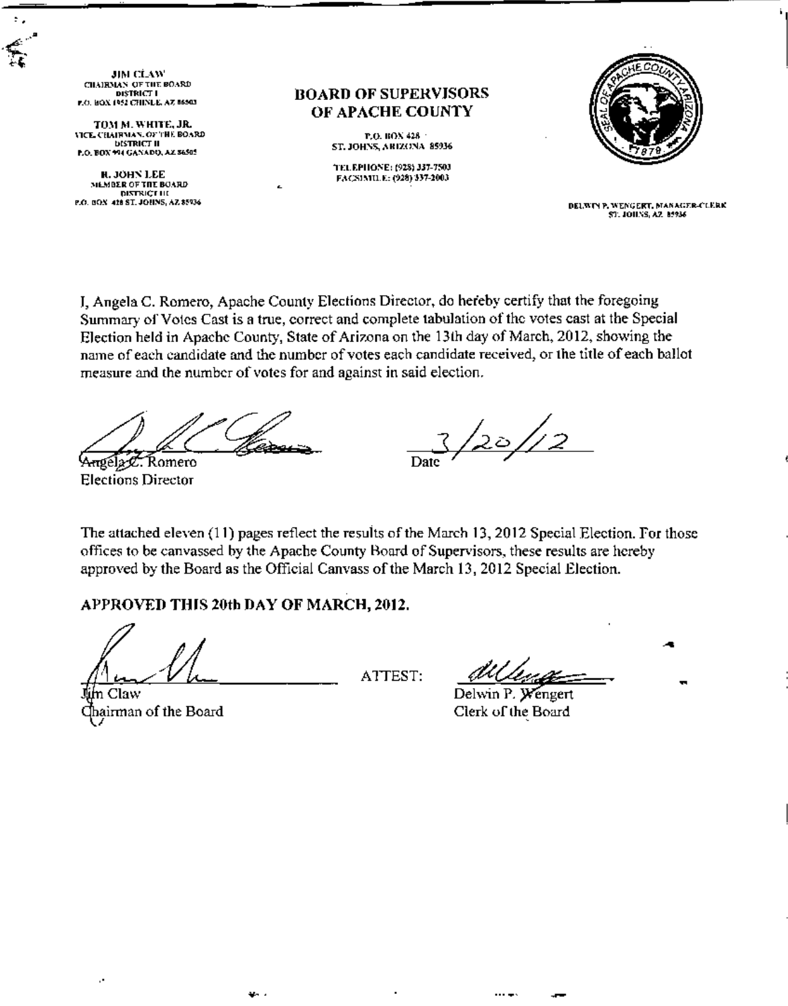**JIM CLAW** CHAIRMAN OF THE BOARD DISTRICT I P.O. BOX 1952 CHINLE, AZ 86503

÷.

TOM M. WHITE, JR. VICE CHAIRMAN. OF THE BOARD **DISTRICT II** P.O. BOX 994 GANADO, AZ 56505

**R. JOHN LEE** MEMBER OF THE BOARD DISTRICT III<br>DISTRICT III<br>P.O. BOX 418 ST. JOHNS, AZ 85936 *ROARD OF SUPERVISORS* OF APACHE COUNTY

> P.O. BOX 428 · **ST. JOHNS, ARIZONA 85936**

TEL.EPHONE: (928) 337-7503 FACSIMILE: (928) 337-2003



DELWIN P. WENGERT, MANAGER-CLERK **ST. JOHNS, AZ. 85936** 

J. Angela C. Romero, Apache County Elections Director, do hereby certify that the foregoing Summary of Votes Cast is a true, correct and complete tabulation of the votes cast at the Special Election held in Apache County, State of Arizona on the 13th day of March, 2012, showing the name of each candidate and the number of votes each candidate received, or the title of each ballot measure and the number of votes for and against in said election.

Angéla C. Romero **Elections Director** 

 $\frac{1}{20}$ /12 Date

The attached eleven (11) pages reflect the results of the March 13, 2012 Special Election. For those offices to be canvassed by the Apache County Board of Supervisors, these results are hereby approved by the Board as the Official Canvass of the March 13, 2012 Special Election.

## APPROVED THIS 20th DAY OF MARCH, 2012.

an d

m Claw Chairman of the Board

÷,

ATTEST:

Delwin P. Wengert Clerk of the Board

 $\cdots$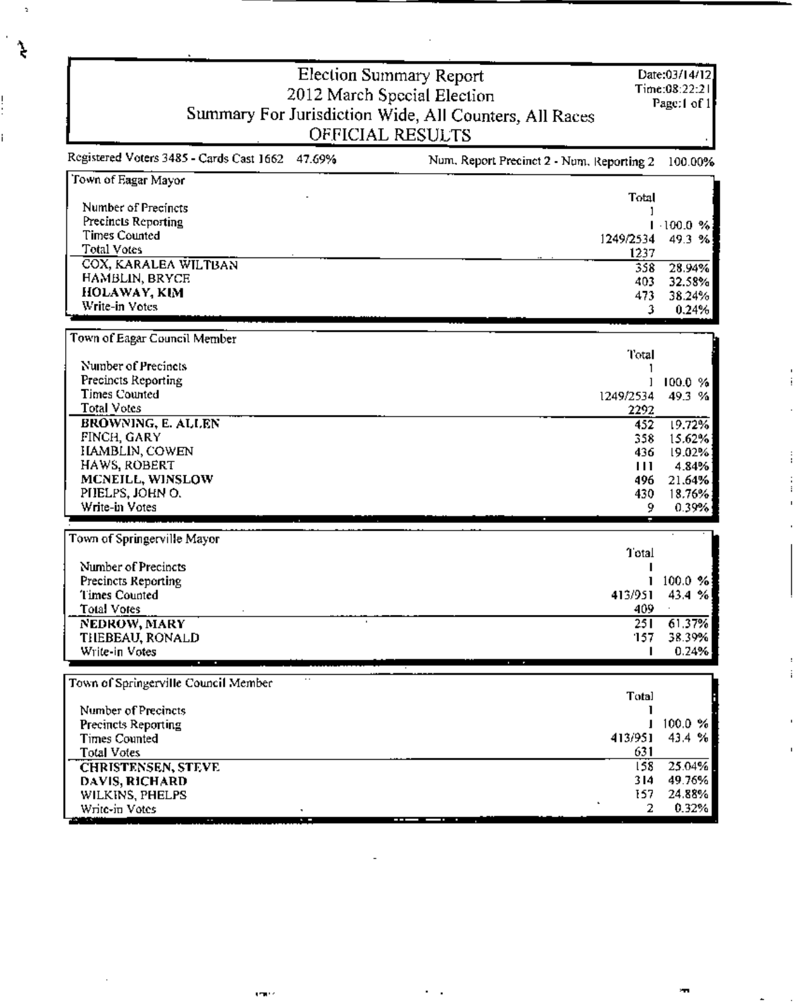|                                                 | <b>Election Summary Report</b>                         | Date:03/14/12<br>Time:08:22:21 |
|-------------------------------------------------|--------------------------------------------------------|--------------------------------|
|                                                 | 2012 March Special Election                            | Page:1 of 1                    |
|                                                 | Summary For Jurisdiction Wide, All Counters, All Races |                                |
|                                                 | OFFICIAL RESULTS                                       |                                |
| Registered Voters 3485 - Cards Cast 1662 47.69% | Num, Report Precinct 2 - Num, Reporting 2              | 100.00%                        |
| Town of Eagar Mayor                             | Total                                                  |                                |
| Number of Precincts                             |                                                        |                                |
| Precincts Reporting                             |                                                        | 1.100.0%                       |
| <b>Times Counted</b><br>Total Votes             | 1249/2534                                              | 49.3 %                         |
| COX, KARALEA WILTBAN                            | 1237                                                   |                                |
| HAMBLIN, BRYCE                                  | 358                                                    | 28.94%                         |
| HOLAWAY, KIM                                    | 403<br>473                                             | 32.58%<br>38.24%               |
| Write-in Votes                                  | 3                                                      | 0.24%                          |
|                                                 |                                                        |                                |
| Town of Eagar Council Member                    |                                                        |                                |
|                                                 | Total                                                  |                                |
| Number of Precincts                             |                                                        |                                |
| Precincts Reporting<br><b>Times Counted</b>     |                                                        | 100.0 %                        |
| <b>Total Votes</b>                              | 1249/2534<br>2292                                      | 49.3 %                         |
| BROWNING, E. ALLEN                              | 452                                                    | 19.72%                         |
| FINCH, GARY                                     | 358                                                    | 15.62%                         |
| HAMBLIN, COWEN                                  | 436                                                    | 19.02%                         |
| HAWS, ROBERT                                    | $\blacksquare$                                         | 4.84%                          |
| MCNEILL, WINSLOW                                | 496.                                                   | 21.64%                         |
| PHELPS, JOHN O.                                 | 430                                                    | 18.76%                         |
| Write-in Votes                                  | 9                                                      | 0.39%                          |
|                                                 |                                                        |                                |
| Town of Springerville Mayor                     | Total                                                  |                                |
| Number of Precincts                             |                                                        |                                |
| Precincts Reporting                             |                                                        | $100.0 \%$                     |
| Times Counted                                   | 413/951                                                | 43.4 %                         |
| Total Votes                                     | 409                                                    |                                |
| NEDROW, MARY                                    | 251<br>٠                                               | 61.37%                         |
| THEBEAU, RONALD                                 | 157                                                    | 38.39%                         |
| Write-in Votes                                  |                                                        | 0.24%                          |
| Town of Springerville Council Member            |                                                        |                                |
|                                                 | <b>Total</b>                                           |                                |
| Number of Precincts                             |                                                        |                                |
| Precincts Reporting                             |                                                        | 100.0 %                        |
| <b>Times Counted</b>                            | 413/951                                                | 43.4 %                         |
| <b>Total Votes</b>                              | 631                                                    |                                |
| <b>CHRISTENSEN, STEVE</b>                       | 158                                                    | 25.04%                         |
| DAVIS, RICHARD                                  | 314                                                    | 49.76%                         |
| WILKINS, PHELPS                                 | 157                                                    | 24.88%                         |
| Write-in Votes<br><b>STATISTICS</b>             | 2                                                      | 0.32%                          |

 $\overline{a}$ 

**COLLA** 

 $\overline{\phantom{a}}$ 

ंद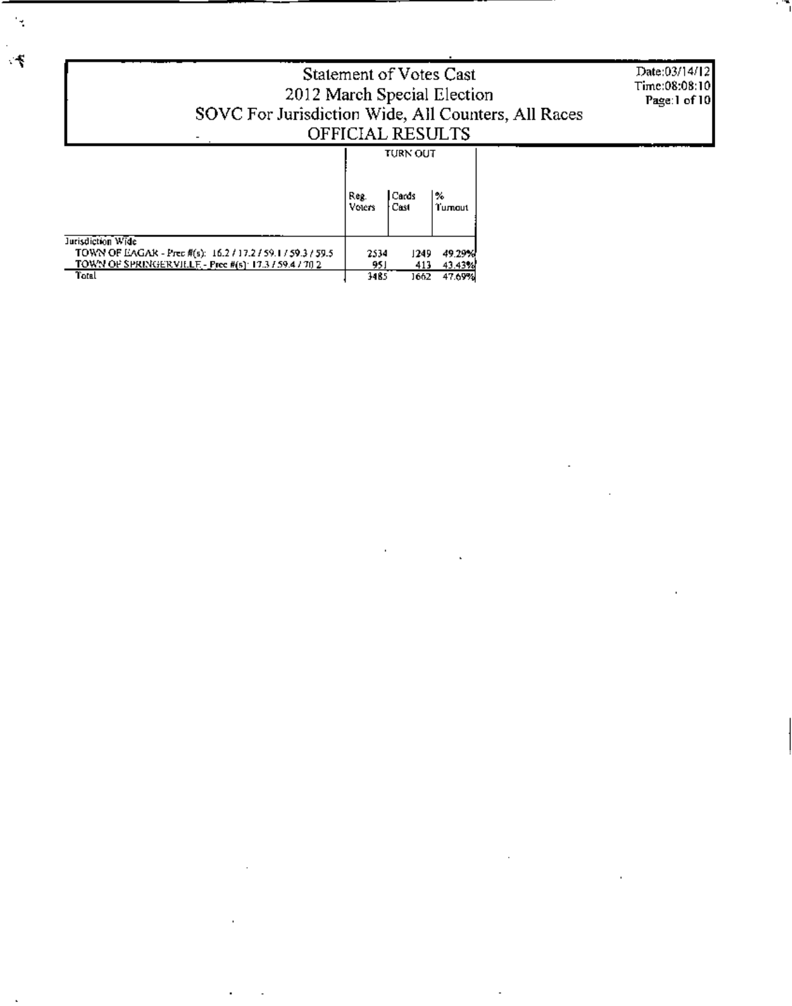|                                                                                                                                                     | Statement of Votes Cast<br>2012 March Special Election<br>SOVC For Jurisdiction Wide, All Counters, All Races<br>OFFICIAL RESULTS |                                    |                            |  |  |
|-----------------------------------------------------------------------------------------------------------------------------------------------------|-----------------------------------------------------------------------------------------------------------------------------------|------------------------------------|----------------------------|--|--|
|                                                                                                                                                     | Reg.<br>Voters                                                                                                                    | <b>TURN OUT</b><br>l Cards<br>Cast | l‰<br>Tumout               |  |  |
| Jurisdiction Wide<br>TOWN OF EAGAR - Prec #(s): 16.2 / 17.2 / 59.1 / 59.3 / 59.5<br>TOWN OF SPRINGER VILLE - Pree #(s): 17.3 / 59.4 / 70 2<br>Total | 2534<br>951<br>1485                                                                                                               | 1249.<br>413<br>1662.              | 49.29%<br>43.43%<br>47.69% |  |  |

 $\bar{1}$ 

 $\ddot{\phantom{a}}$ 

 $\blacksquare$ 

J.

 $\overline{a}$ 

÷,

 $\overline{\phantom{a}}$ 

 $\ddot{\phantom{a}}$ 

J.

 $\mathcal{A}$ 

 $\mathcal{C}$ 

 $\ddot{\phantom{a}}$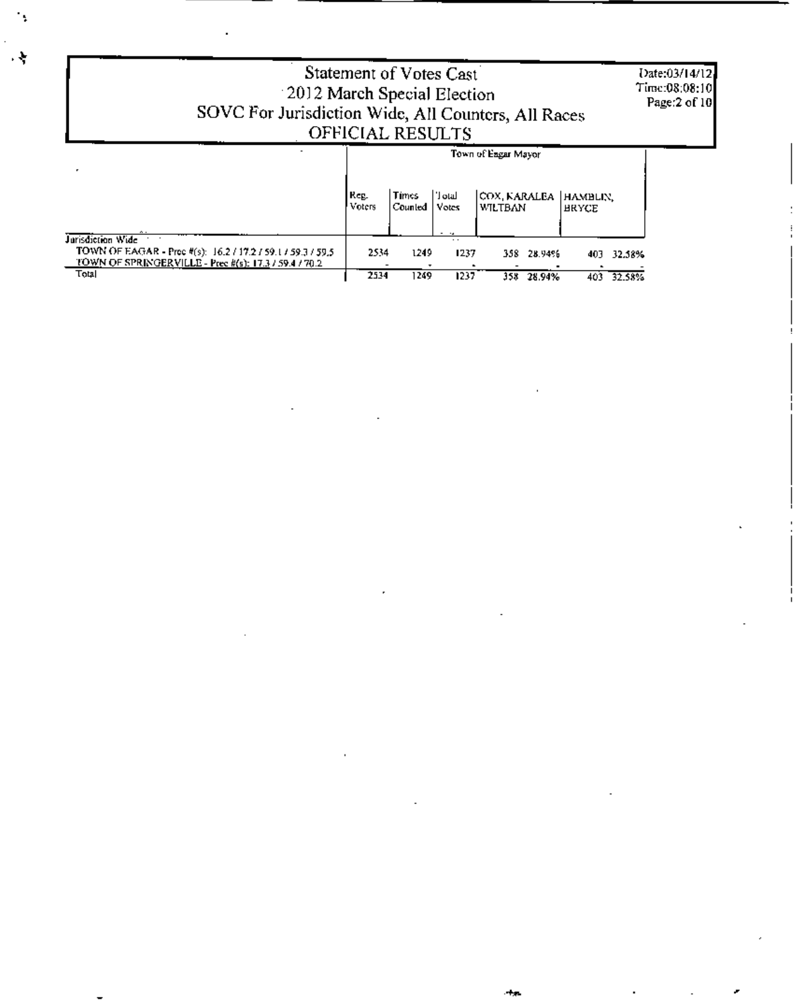| Statement of Votes Cast<br>2012 March Special Election<br>SOVC For Jurisdiction Wide, All Counters, All Races<br>OFFICIAL RESULTS                  |                |                         |                                        |                                                           |                   |        |
|----------------------------------------------------------------------------------------------------------------------------------------------------|----------------|-------------------------|----------------------------------------|-----------------------------------------------------------|-------------------|--------|
|                                                                                                                                                    | Reg.<br>Voters | <b>Times</b><br>Counted | لتنان ا' أ<br>Votes                    | Town of Eagar Mayor<br>COX, KARALEA   HAMBLIN,<br>WILTBAN | <b>HRYCE</b>      |        |
| Jarisdiction Wide<br>TOWN OF EAGAR - Prec #(s): 16.2 / 17.2 / 59.1 / 59.3 / 59.5<br>TOWN OF SPRINGERVILLE - Prec #(s): 17.3 / 59.4 / 70.2<br>Total | 2534<br>2534   | 1249.<br>1249           | . .<br>$\cdot$ $\cdot$<br>1237<br>1237 | 358 28.94%<br>358 28.94%                                  | 403<br>403 32.58% | 32.58% |

 $\epsilon_{\rm i}$ 

٠ł,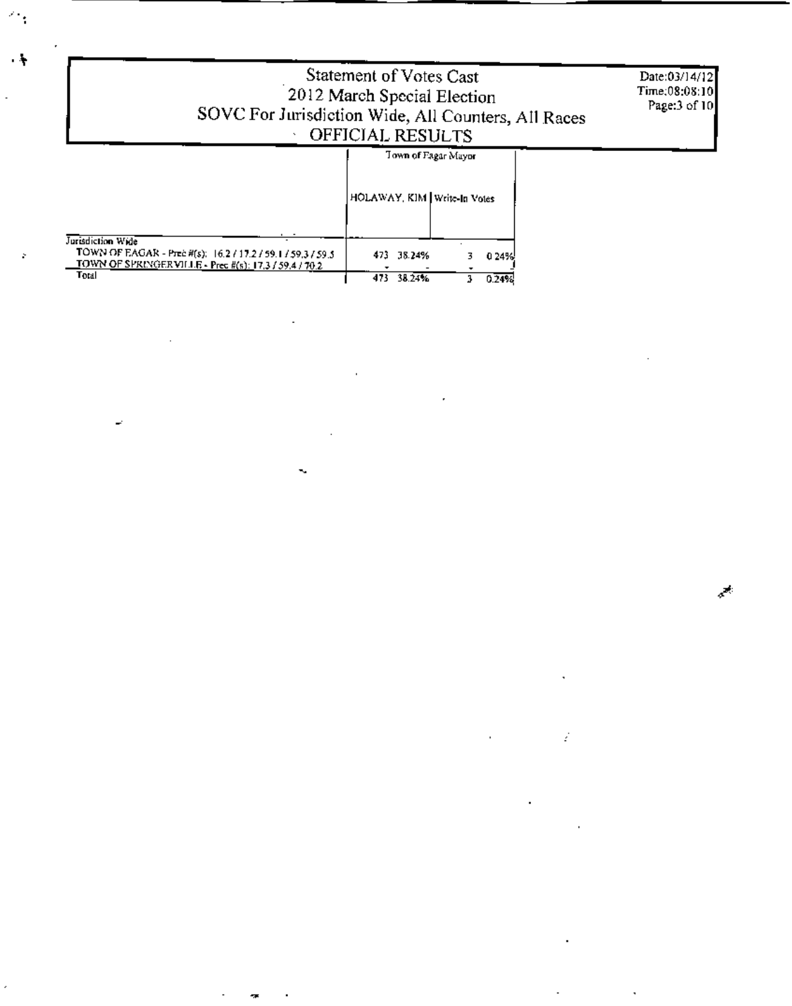| Statement of Votes Cast<br>2012 March Special Election<br>SOVC For Jurisdiction Wide, All Counters, All Races<br>OFFICIAL RESULTS                   | Date:03/14/12<br>Time;08:08:10<br>Page:3 of 10       |                |  |
|-----------------------------------------------------------------------------------------------------------------------------------------------------|------------------------------------------------------|----------------|--|
|                                                                                                                                                     | Town of Fagar Mayor<br>HOLAWAY, KIM   Write-In Votes |                |  |
| Jurisdiction Wide<br>TOWN OF EAGAR - Prec #(s): 16.2 / 17.2 / 59.1 / 59.3 / 59.5<br>TOWN OF SPRINGER VILLE - Prec #(s): 17,3 / 59.4 / 70.2<br>Total | 473.<br>38.24%<br>473<br>38.24%                      | 0.24%<br>0.24% |  |

 $\mathcal{E}^{\mathcal{C}}$ 

Ź

J,

 $\overline{a}$ 

ĸ.

 $\mathcal{L}_{\mathcal{A}}$ 

b.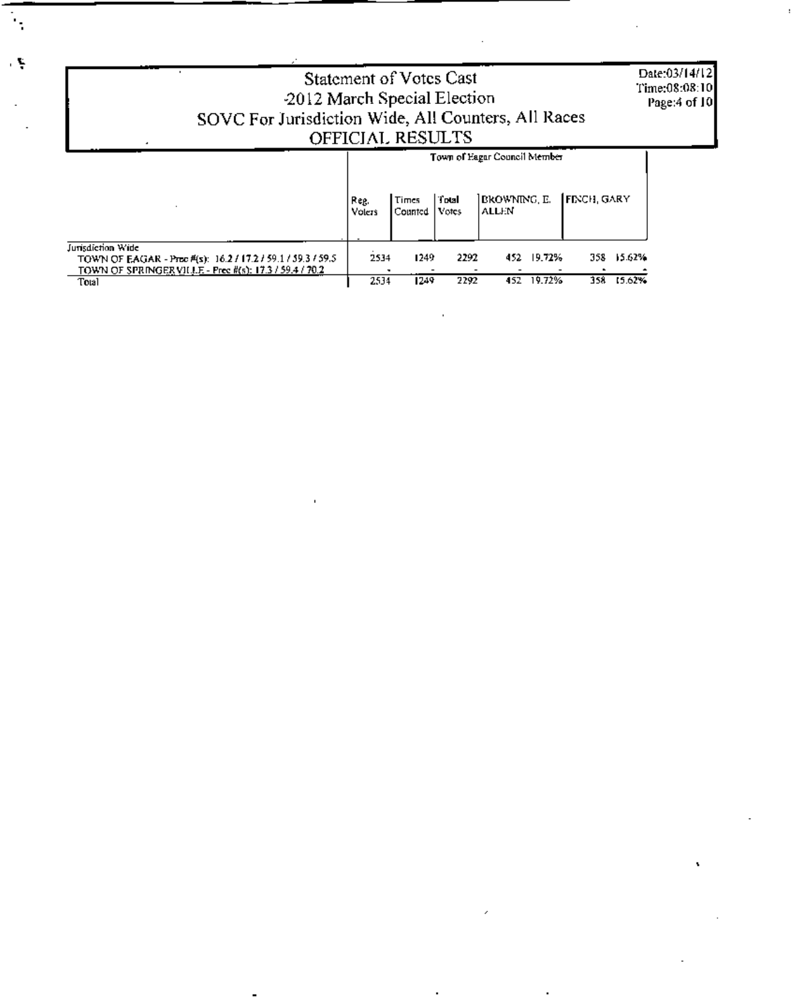|                                                                                                                                           | <b>Statement of Votes Cast</b><br>-2012 March Special Election<br>SOVC For Jurisdiction Wide, All Counters, All Races<br>OFFICIAL RESULTS |                  |                |                               |                  |                   |        | Date:03/14/12]<br>Time:08:08:10<br>Page:4 of 10 |
|-------------------------------------------------------------------------------------------------------------------------------------------|-------------------------------------------------------------------------------------------------------------------------------------------|------------------|----------------|-------------------------------|------------------|-------------------|--------|-------------------------------------------------|
|                                                                                                                                           |                                                                                                                                           |                  |                | Town of Eagar Council Member  |                  |                   |        |                                                 |
|                                                                                                                                           | Reg.<br>Volers                                                                                                                            | Times<br>Counted | Total<br>Votes | IBROWNING, E.<br><b>ALLEN</b> |                  | <b>FENCH GARY</b> |        |                                                 |
| Jurisdiction Wide<br>TOWN OF EAGAR - Proc #(s): 16.2 / 17.2 / 59.1 / 59.3 / 59.5<br>TOWN OF SPRINGERVILLE - Prec #(s): 17.3 / 59.4 / 70.2 | 2534                                                                                                                                      | 1249.            | 2292<br>2292   | 452.<br>452                   | 19.72%<br>19.72% | 358.              | 15.62% |                                                 |
| Total                                                                                                                                     | 2534                                                                                                                                      | 1249             | 15.62%<br>358. |                               |                  |                   |        |                                                 |

Â,

ιŞ.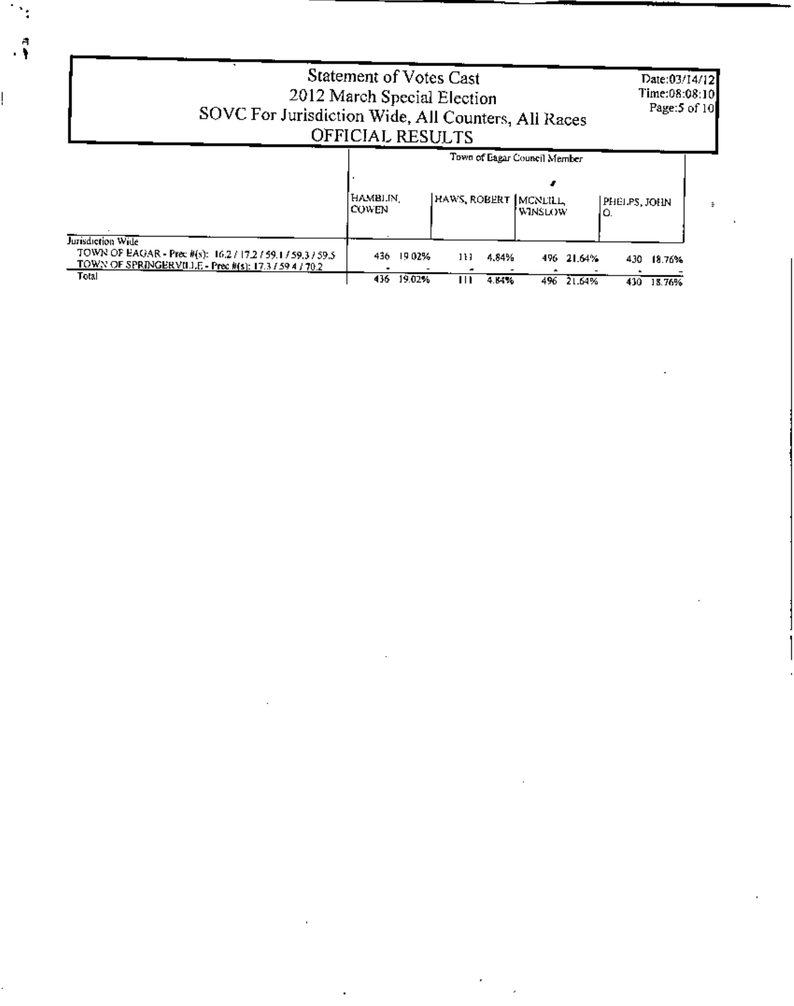| 2012 March Special Election<br>SOVC For Jurisdiction Wide, All Counters, All Races                                                        | Statement of Votes Cast<br>OFFICIAL RESULTS |        |                      |       |                              |            |                    | Date:03/14/12<br>Time:08:08:10]<br>Page:5 of 10 |  |
|-------------------------------------------------------------------------------------------------------------------------------------------|---------------------------------------------|--------|----------------------|-------|------------------------------|------------|--------------------|-------------------------------------------------|--|
|                                                                                                                                           |                                             |        |                      |       | Town of Eagar Council Member |            |                    |                                                 |  |
|                                                                                                                                           | HAMBLIN.<br><b>COWEN</b>                    |        | HAWS, ROBERT MCNEILL |       | 'WINSLOW                     |            | PHELPS, JOHN<br>Ю. |                                                 |  |
| Jurisdiction Wide<br>TOWN OF EAGAR - Prec #(s): 16.2 / 17.2 / 59.1 / 59.3 / 59.5<br>TOWN OF SPRINGERVILLE - Prec #(s): 17.3 / 59 4 / 70.2 | 436                                         | 19 02% | 111                  | 4.84% |                              | 496 21.64% | 430                | 18.76%                                          |  |
| Total                                                                                                                                     | 436.                                        | 19.02% | Ш                    | 4.64% |                              | 496 21.64% |                    | 430 18.76%                                      |  |

 $\mathcal{L}(\mathcal{L}(\mathcal{L}))$  and  $\mathcal{L}(\mathcal{L}(\mathcal{L}))$  . The contribution of the contribution of  $\mathcal{L}(\mathcal{L})$ 

 $\mathcal{L}^{\text{max}}_{\text{max}}$  and  $\mathcal{L}^{\text{max}}_{\text{max}}$ 

 $\mathcal{L}(\mathcal{L}^{\mathcal{L}})$  and  $\mathcal{L}(\mathcal{L}^{\mathcal{L}})$  .

 $\label{eq:2.1} \frac{1}{\sqrt{2}}\int_{\mathbb{R}^3}\frac{1}{\sqrt{2}}\left(\frac{1}{\sqrt{2}}\right)^2\left(\frac{1}{\sqrt{2}}\right)^2\left(\frac{1}{\sqrt{2}}\right)^2\left(\frac{1}{\sqrt{2}}\right)^2\left(\frac{1}{\sqrt{2}}\right)^2.$ 

 $\mathcal{A}^{\mathcal{A}}$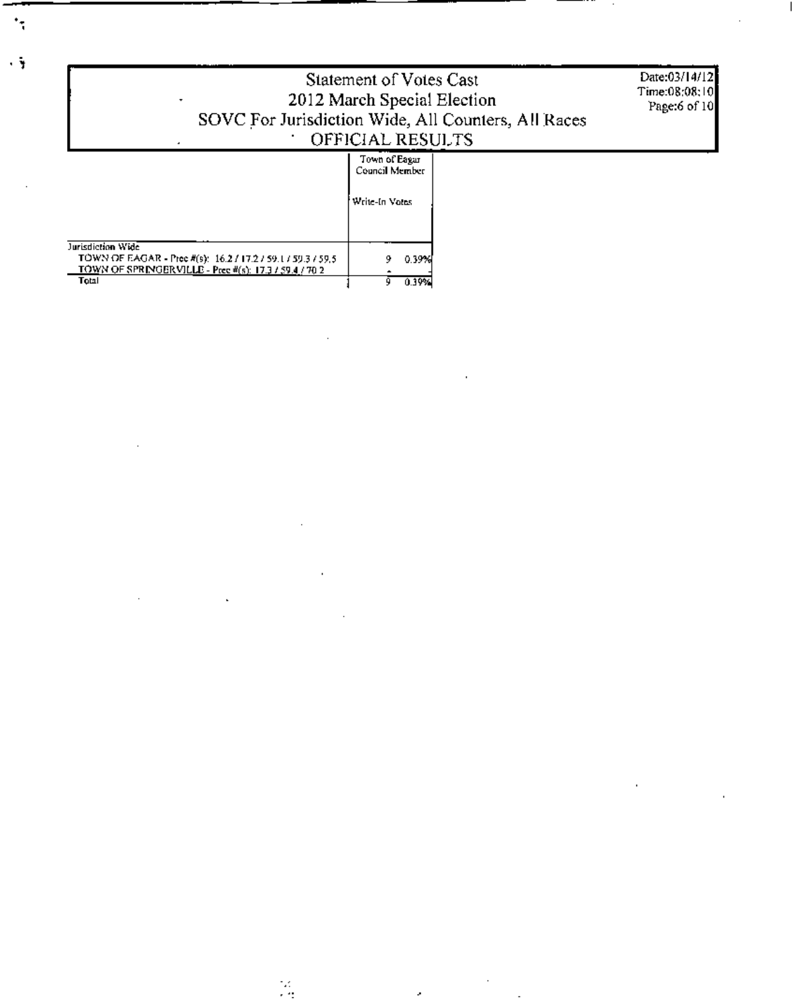| Statement of Votes Cast<br>2012 March Special Election<br>٠<br>SOVC For Jurisdiction Wide, All Counters, All Races<br>OFFICIAL RESULTS               | Date:03/14/12<br>Time:08:08:10<br>Page:6 of 10    |  |
|------------------------------------------------------------------------------------------------------------------------------------------------------|---------------------------------------------------|--|
|                                                                                                                                                      | Town of Eagar<br>Council Member<br>Write-In Votes |  |
| Jurisdiction Wide<br>TOWN OF EAGAR - Prec #(s): $16.2 / 17.2 / 59.1 / 59.3 / 59.5$<br>TOWN OF SPRINGERVILLE - Prec #(s): 17.3 / 59.4 / 70 2<br>Total | 0.39%<br>0.39%                                    |  |

 $\bar{z}$ 

 $\cdot$ 

R.

×

 $\ddot{\phantom{0}}$ 

 $\ddot{\mathbf{y}}$ 

...

 $\epsilon$ 

Î,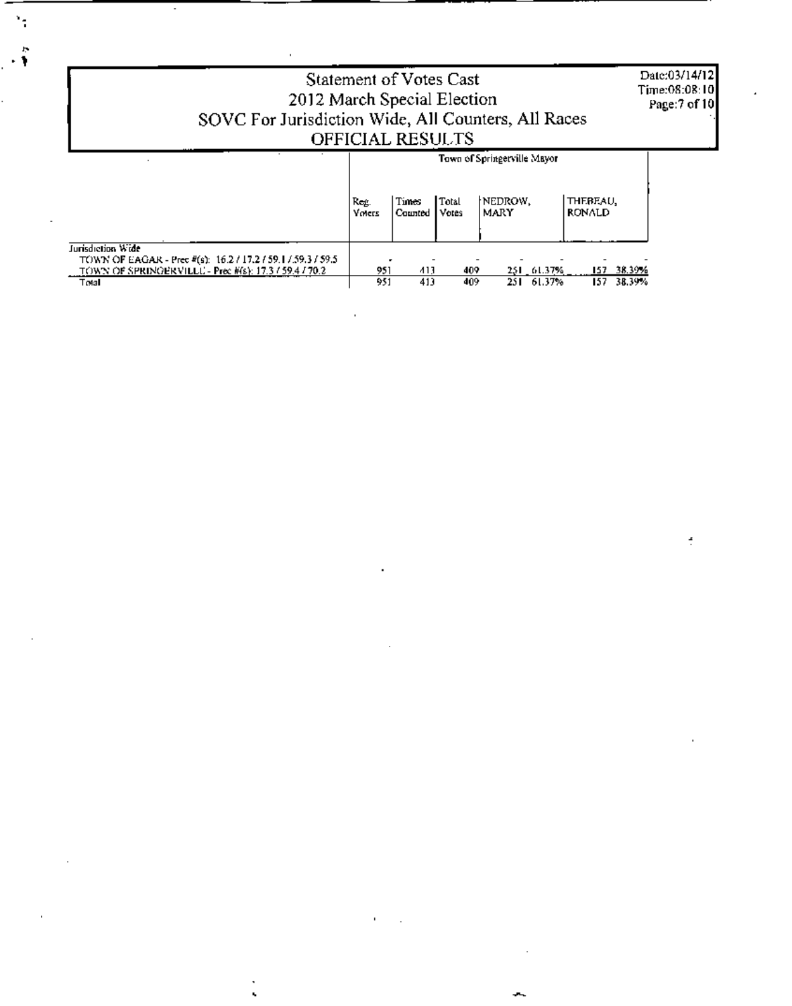Date:03/14/12 Statement of Votes Cast Time:08:08:10 2012 March Special Election Page:7 of 10 SOVC For Jurisdiction Wide, All Counters, All Races OFFICIAL RESULTS Town of Springerville Mayor Reg.<br>Voiets NEDROW, THEREAU, Total Times Counted Votes **MARY RONALD** Jurisdiction Wide TOWN OF EAGAR - Prec #(s): 16.2 / 17.2 / 59.1 / 59.3 / 59.5<br>TOWN OF SPRINGERVILLU - Prec #(s): 17.3 / 59.4 / 70.2  $\frac{951}{951}$ 157 38.39% 409 251 61.37% 413  $\overline{251}$ Total 413 409 61.37%  $\overline{157}$ 38.39%

÷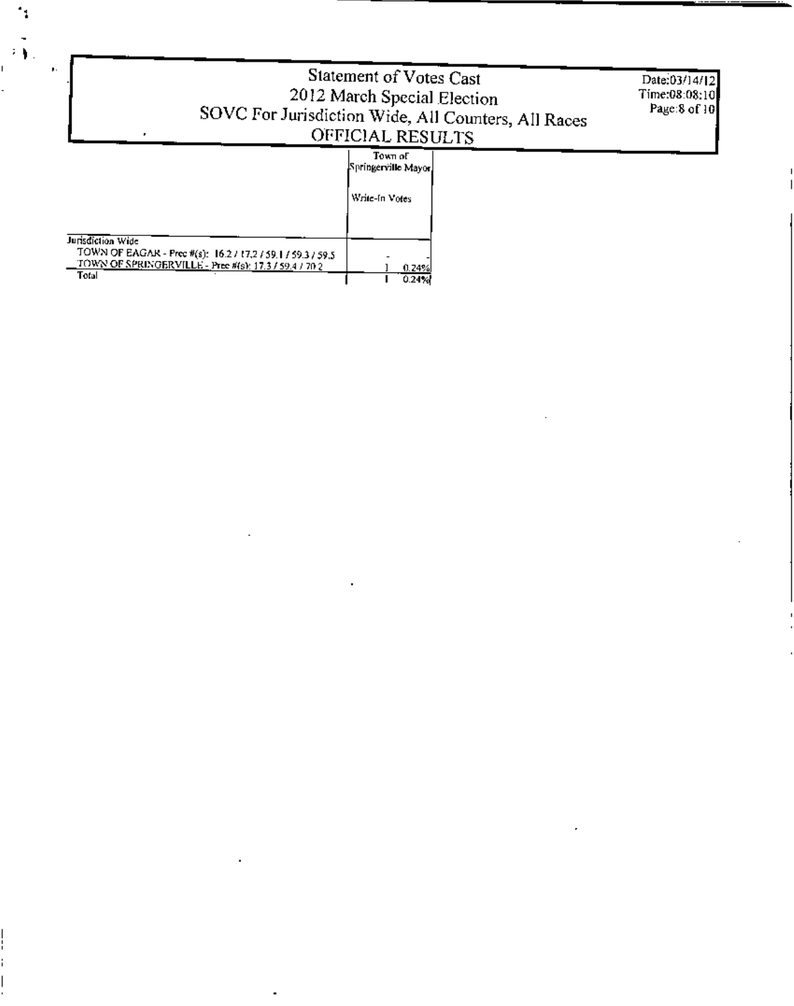|                                                                                                                                                    | Statement of Votes Cast<br>2012 March Special Election<br>SOVC For Jurisdiction Wide, All Counters, All Races<br>OFFICIAL RESULTS | Date:03/14/12<br>Time:08:08:10<br>Page:8 of 10 |
|----------------------------------------------------------------------------------------------------------------------------------------------------|-----------------------------------------------------------------------------------------------------------------------------------|------------------------------------------------|
|                                                                                                                                                    | Town of<br>Springerville Mayor)<br>Write-In Votes                                                                                 |                                                |
| Jurisdiction Wide<br>TOWN OF EAGAR - Prec #(s): 16.2 / 17.2 / 59.1 / 59.3 / 59.5<br>TOWN OF SPRINGERVILLE - Prec #(s): 17.3 / 59.4 / 70.2<br>Total | 0.24%<br>0.24%                                                                                                                    |                                                |

 $\mathcal{L}(\mathcal{L}^{\mathcal{L}})$  and  $\mathcal{L}(\mathcal{L}^{\mathcal{L}})$  and  $\mathcal{L}(\mathcal{L}^{\mathcal{L}})$ 

 $\mathcal{L}(\mathcal{L})$  and  $\mathcal{L}(\mathcal{L})$  .

 $\mathcal{L}(\mathcal{L}^{\mathcal{L}})$  . The set of  $\mathcal{L}^{\mathcal{L}}$ 

 $\mathcal{L}(\mathcal{L}^{\text{max}}_{\mathcal{L}})$  and  $\mathcal{L}^{\text{max}}_{\mathcal{L}}$  and  $\mathcal{L}^{\text{max}}_{\mathcal{L}}$ 

 $\mathcal{L}(\mathcal{L}^{\text{max}}_{\mathcal{L}})$  , where  $\mathcal{L}^{\text{max}}_{\mathcal{L}}$ 

 $\frac{1}{2}$ 

 $\overline{\mathcal{F}}$ 

 $\bar{\nu}$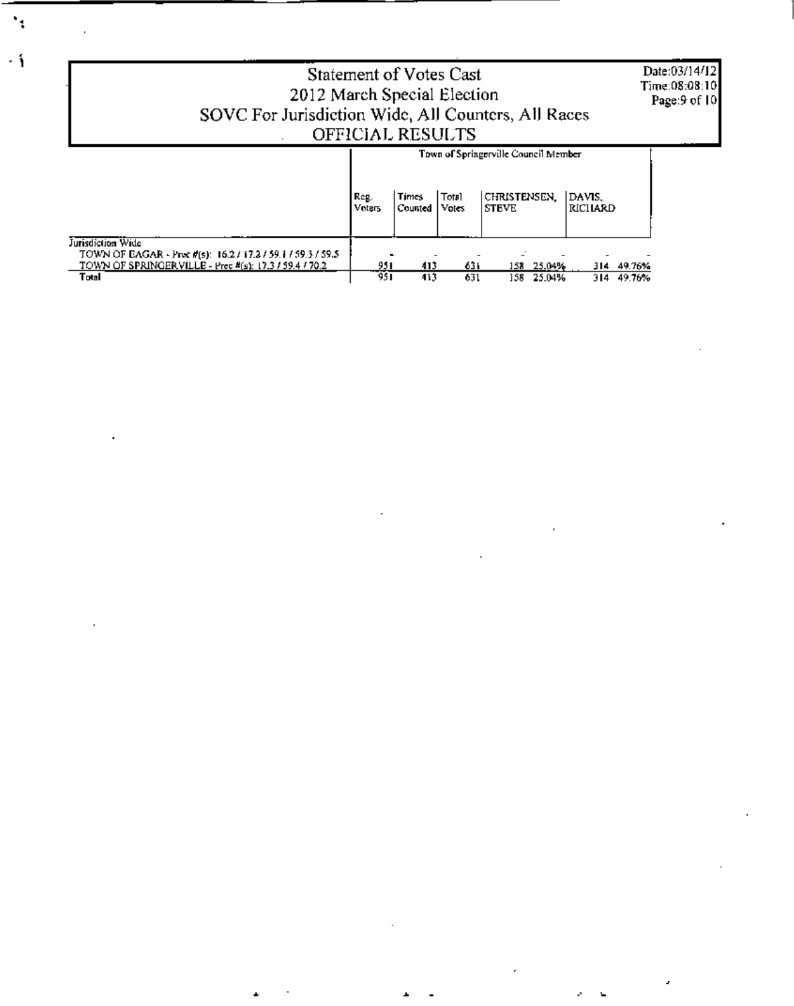Date:03/14/12 Time:08:08:10<br>Page:9 of 10

## Statement of Votes Cast 2012 March Special Election SOVC For Jurisdiction Wide, All Counters, All Races<br>OFFICIAL RESULTS

|                                                                                  | Town of Springerville Council Member |                         |                         |                               |                     |  |  |
|----------------------------------------------------------------------------------|--------------------------------------|-------------------------|-------------------------|-------------------------------|---------------------|--|--|
|                                                                                  | Reg.<br><b>Voters</b>                | <b>Times</b><br>Counted | <b>Total</b><br>  Votes | CHRISTENSEN.<br><b>ISTEVE</b> | IDAVIS.<br> RICHARD |  |  |
| Jurisdiction Wide<br>TOWN OF EAGAR - Proc #(s): 16.2 / 17.2 / 59.1 / 59.3 / 59.5 |                                      |                         |                         |                               |                     |  |  |
| TOWN OF SPRINGERVILLE - Prec #(s): 17.3 / 59.4 / 70.2                            | 951                                  | 413                     | 631                     | 25.04%<br>158                 | 49.76%<br>314       |  |  |
| Total                                                                            | 951                                  | 413                     | 631                     | 25.04%<br>158                 | 49.76%<br>314.      |  |  |

۰,

 $\cdot$  i